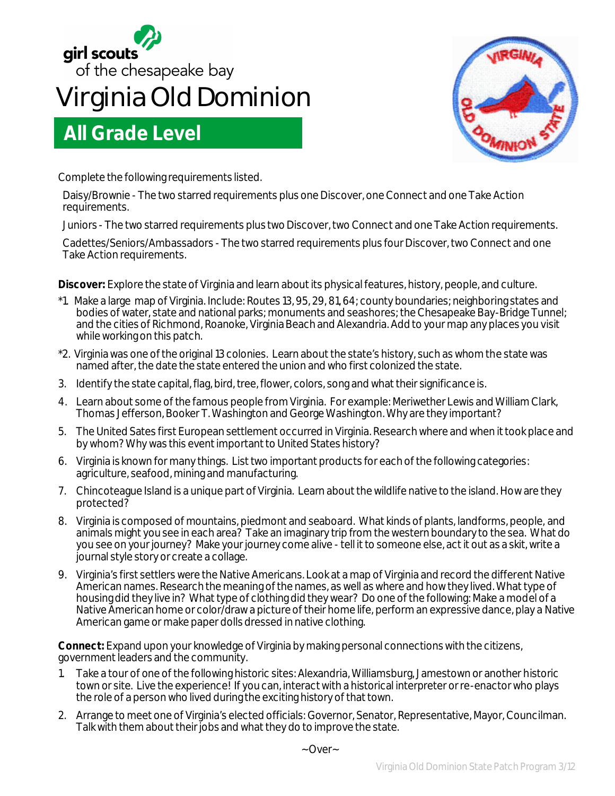

## **Virginia Old Dominion**

## **All Grade Level**



Complete the following requirements listed.

Daisy/Brownie - The two starred requirements plus one Discover, one Connect and one Take Action requirements.

Juniors - The two starred requirements plus two Discover, two Connect and one Take Action requirements.

Cadettes/Seniors/Ambassadors - The two starred requirements plus four Discover, two Connect and one Take Action requirements.

**Discover:** Explore the state of Virginia and learn about its physical features, history, people, and culture.

- \*1. Make a large map of Virginia. Include: Routes 13, 95, 29, 81, 64; county boundaries; neighboring states and bodies of water, state and national parks; monuments and seashores; the Chesapeake Bay-Bridge Tunnel; and the cities of Richmond, Roanoke, Virginia Beach and Alexandria. Add to your map any places you visit while working on this patch.
- \*2. Virginia was one of the original 13 colonies. Learn about the state's history, such as whom the state was named after, the date the state entered the union and who first colonized the state.
- 3. Identify the state capital, flag, bird, tree, flower, colors, song and what their significance is.
- 4. Learn about some of the famous people from Virginia. For example: Meriwether Lewis and William Clark, Thomas Jefferson, Booker T. Washington and George Washington. Why are they important?
- 5. The United Sates first European settlement occurred in Virginia. Research where and when it took place and by whom? Why was this event important to United States history?
- 6. Virginia is known for many things. List two important products for each of the following categories: agriculture, seafood, mining and manufacturing.
- 7. Chincoteague Island is a unique part of Virginia. Learn about the wildlife native to the island. How are they protected?
- 8. Virginia is composed of mountains, piedmont and seaboard. What kinds of plants, landforms, people, and animals might you see in each area? Take an imaginary trip from the western boundary to the sea. What do you see on your journey? Make your journey come alive - tell it to someone else, act it out as a skit, write a journal style story or create a collage.
- 9. Virginia's first settlers were the Native Americans. Look at a map of Virginia and record the different Native American names. Research the meaning of the names, as well as where and how they lived. What type of housing did they live in? What type of clothing did they wear? Do one of the following: Make a model of a Native American home or color/draw a picture of their home life, perform an expressive dance, play a Native American game or make paper dolls dressed in native clothing.

**Connect:** Expand upon your knowledge of Virginia by making personal connections with the citizens, government leaders and the community.

- 1. Take a tour of one of the following historic sites: Alexandria, Williamsburg, Jamestown or another historic town or site. Live the experience! If you can, interact with a historical interpreter or re-enactor who plays the role of a person who lived during the exciting history of that town.
- 2. Arrange to meet one of Virginia's elected officials: Governor, Senator, Representative, Mayor, Councilman. Talk with them about their jobs and what they do to improve the state.